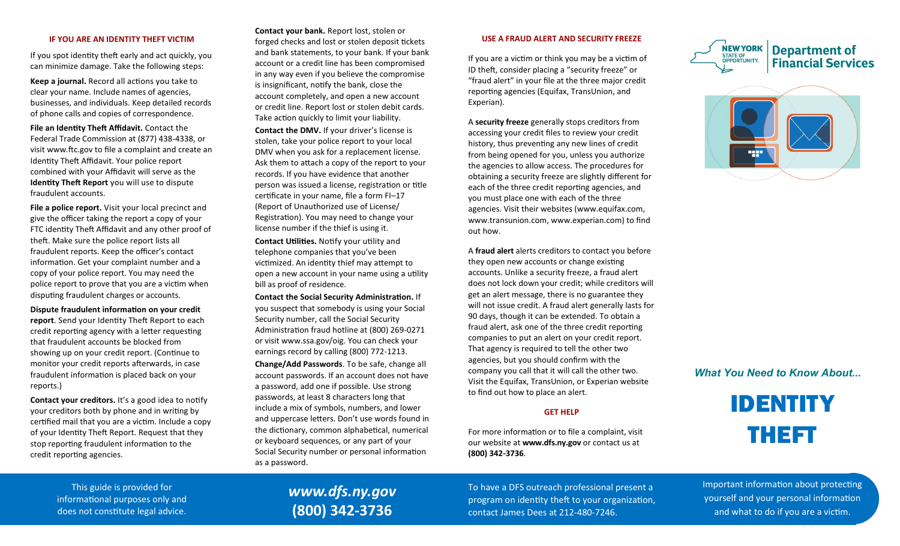# **IF YOU ARE AN IDENTITY THEFT VICTIM**

If you spot identity theft early and act quickly, you can minimize damage. Take the following steps:

**Keep a journal.** Record all actions you take to clear your name. Include names of agencies, businesses, and individuals. Keep detailed records of phone calls and copies of correspondence.

**File an Identity Theft Affidavit.** Contact the Federal Trade Commission at (877) 438-4338, or visit www.ftc.gov to file a complaint and create an Identity Theft Affidavit. Your police report combined with your Affidavit will serve as the **Identity Theft Report** you will use to dispute fraudulent accounts.

**File a police report.** Visit your local precinct and give the officer taking the report a copy of your FTC identity Theft Affidavit and any other proof of theft. Make sure the police report lists all fraudulent reports. Keep the officer's contact information. Get your complaint number and a copy of your police report. You may need the police report to prove that you are a victim when disputing fraudulent charges or accounts.

**Dispute fraudulent information on your credit report**. Send your Identity Theft Report to each credit reporting agency with a letter requesting that fraudulent accounts be blocked from showing up on your credit report. (Continue to monitor your credit reports afterwards, in case fraudulent information is placed back on your reports.)

**Contact your creditors.** It's a good idea to notify your creditors both by phone and in writing by certified mail that you are a victim. Include a copy of your Identity Theft Report. Request that they stop reporting fraudulent information to the credit reporting agencies.

**Contact your bank.** Report lost, stolen or forged checks and lost or stolen deposit tickets and bank statements, to your bank. If your bank account or a credit line has been compromised in any way even if you believe the compromise is insignificant, notify the bank, close the account completely, and open a new account or credit line. Report lost or stolen debit cards. Take action quickly to limit your liability. **Contact the DMV.** If your driver's license is stolen, take your police report to your local DMV when you ask for a replacement license. Ask them to attach a copy of the report to your records. If you have evidence that another person was issued a license, registration or title certificate in your name, file a form FI–17 (Report of Unauthorized use of License/ Registration). You may need to change your license number if the thief is using it.

**Contact Utilities.** Notify your utility and telephone companies that you've been victimized. An identity thief may attempt to open a new account in your name using a utility bill as proof of residence.

**Contact the Social Security Administration.** If you suspect that somebody is using your Social Security number, call the Social Security Administration fraud hotline at (800) 269-0271 or visit www.ssa.gov/oig. You can check your earnings record by calling (800) 772-1213. **Change/Add Passwords**. To be safe, change all account passwords. If an account does not have a password, add one if possible. Use strong passwords, at least 8 characters long that include a mix of symbols, numbers, and lower and uppercase letters. Don't use words found in the dictionary, common alphabetical, numerical or keyboard sequences, or any part of your Social Security number or personal information as a password.

## **USE A FRAUD ALERT AND SECURITY FREEZE**

If you are a victim or think you may be a victim of ID theft, consider placing a "security freeze" or "fraud alert" in your file at the three major credit reporting agencies (Equifax, TransUnion, and Experian).

A **security freeze** generally stops creditors from accessing your credit files to review your credit history, thus preventing any new lines of credit from being opened for you, unless you authorize the agencies to allow access. The procedures for obtaining a security freeze are slightly different for each of the three credit reporting agencies, and you must place one with each of the three agencies. Visit their websites (www.equifax.com, www.transunion.com, www.experian.com) to find out how.

A **fraud alert** alerts creditors to contact you before they open new accounts or change existing accounts. Unlike a security freeze, a fraud alert does not lock down your credit; while creditors will get an alert message, there is no guarantee they will not issue credit. A fraud alert generally lasts for 90 days, though it can be extended. To obtain a fraud alert, ask one of the three credit reporting companies to put an alert on your credit report. That agency is required to tell the other two agencies, but you should confirm with the company you call that it will call the other two. Visit the Equifax, TransUnion, or Experian website to find out how to place an alert.

## **GET HELP**

For more information or to file a complaint, visit our website at **www.dfs.ny.gov** or contact us at **(800) 342-3736**.





# *What You Need to Know About...*



This guide is provided for informational purposes only and does not constitute legal advice.

# *www.dfs.ny.gov* **(800) 342-3736**

To have a DFS outreach professional present a program on identity theft to your organization, contact James Dees at 212-480-7246.

Important information about protecting yourself and your personal information and what to do if you are a victim.